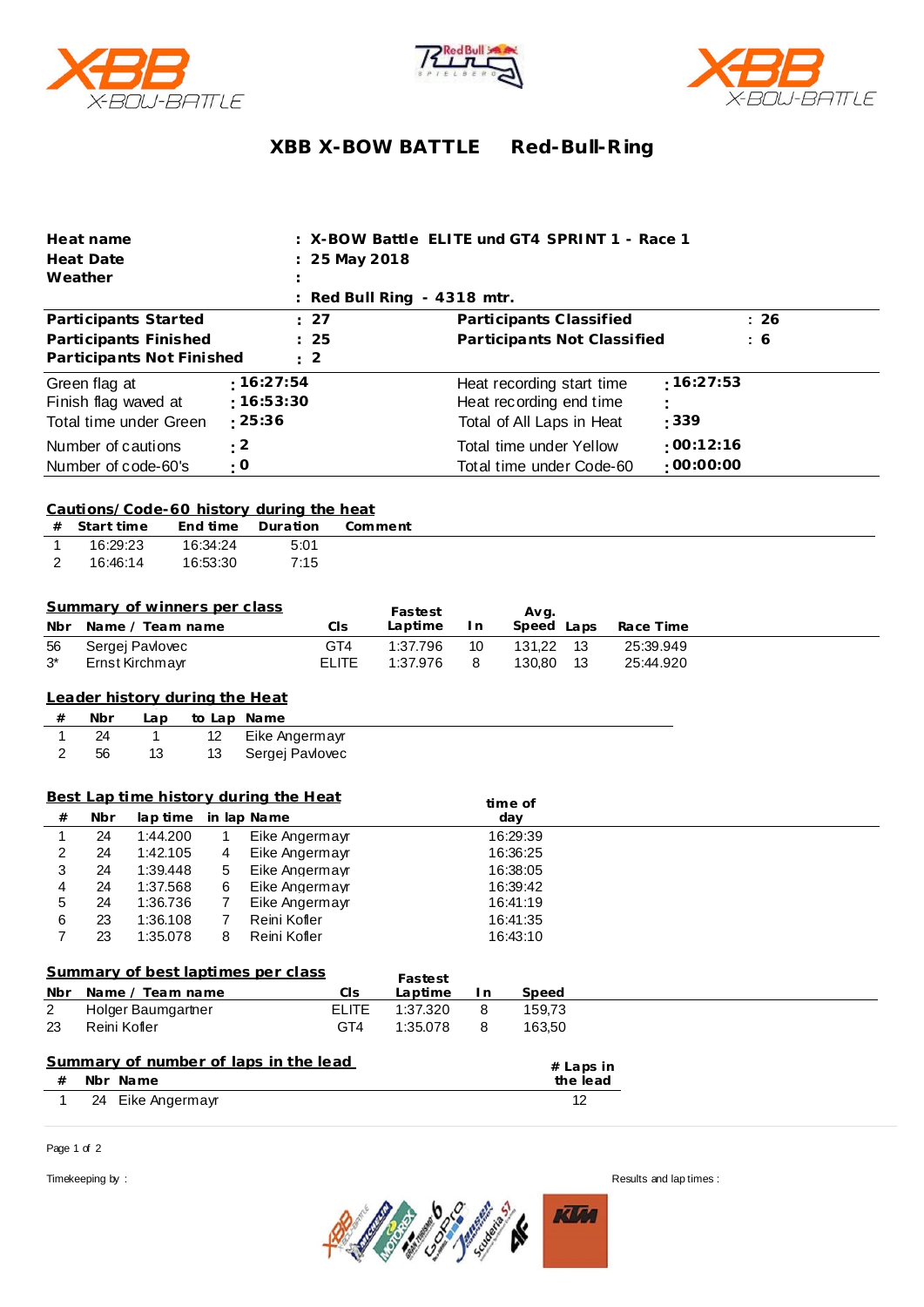





## **XBB X-BOW BATTLE Red-Bull-R ing**

| Heat name<br><b>Heat Date</b>                                    | 25 May 2018                                 | X-BOW Battle ELITE und GT4 SPRINT 1 - Race 1 |                        |
|------------------------------------------------------------------|---------------------------------------------|----------------------------------------------|------------------------|
| Weather                                                          |                                             |                                              |                        |
|                                                                  | Red Bull Ring - 4318 mtr.                   |                                              |                        |
| Participants Started                                             | 27                                          | Participants Classified                      | : 26                   |
| Participants Finished                                            | 25                                          | Participants Not Classified                  | : 6                    |
| Participants Not Finished                                        | 2                                           |                                              |                        |
| :16:27:54<br>Green flag at                                       |                                             | Heat recording start time                    | :16:27:53              |
| :16:53:30<br>Finish flag waved at                                |                                             | Heat recording end time                      |                        |
| : 25:36<br>Total time under Green                                |                                             | Total of All Laps in Heat                    | : 339                  |
| : 2<br>Number of cautions                                        |                                             | Total time under Yellow                      | :00:12:16              |
| : 0<br>Number of code-60's                                       |                                             | Total time under Code-60                     | :00:00:00              |
|                                                                  |                                             |                                              |                        |
| Cautions/Code-60 history during the heat                         |                                             |                                              |                        |
| Start time<br>End time<br>Duration<br>#                          | Comment                                     |                                              |                        |
| 1<br>16:29:23<br>16:34:24<br>16:46:14<br>16:53:30                | 5:01<br>7:15                                |                                              |                        |
| 2                                                                |                                             |                                              |                        |
|                                                                  |                                             |                                              |                        |
| Summary of winners per class                                     | Fastest                                     | Avg.                                         |                        |
| Name / Team name<br>Nbr                                          | Laptime<br>CIS                              | Speed Laps<br>In.                            | Race Time              |
| Sergej Pavlovec<br>56<br>3*<br>Ernst Kirchmayr                   | GT4<br>1:37.796<br><b>ELITE</b><br>1:37.976 | 131,22<br>13<br>10<br>130,80<br>8<br>13      | 25:39.949<br>25:44.920 |
|                                                                  |                                             |                                              |                        |
| Leader history during the Heat                                   |                                             |                                              |                        |
| #<br>Nbr<br>to Lap Name<br>Lap                                   |                                             |                                              |                        |
| $\mathbf{1}$<br>1<br>Eike Angermayr<br>24<br>12 <sup>°</sup>     |                                             |                                              |                        |
| 2<br>13<br>13<br>Sergej Pavlovec<br>56                           |                                             |                                              |                        |
|                                                                  |                                             |                                              |                        |
| Best Lap time history during the Heat<br>time of                 |                                             |                                              |                        |
| lap time<br>#<br>Nbr<br>in lap Name                              |                                             | day                                          |                        |
| $\mathbf{1}$<br>24<br>1:44.200<br>1<br>24                        | Eike Angermayr                              | 16:29:39<br>16:36:25                         |                        |
| 2<br>1:42.105<br>Eike Angermayr<br>4<br>3<br>24<br>1:39.448<br>5 | Eike Angermayr<br>16:38:05                  |                                              |                        |
| $\overline{\mathbf{4}}$<br>24<br>1:37.568<br>6                   | Eike Angermayr<br>16:39:42                  |                                              |                        |
| 5<br>24<br>1:36.736<br>7                                         | Eike Angermayr                              | 16:41:19                                     |                        |
| 6<br>23<br>1:36.108<br>$7^{\circ}$<br>Reini Kofler -             |                                             | 16:41:35                                     |                        |
| $\overline{7}$<br>Reini Kofler<br>23<br>1:35.078<br>8            |                                             | 16:43:10                                     |                        |
| Summary of best laptimes per class                               |                                             |                                              |                        |
| Name / Team name<br>Nbr                                          | Fastest<br>Laptime<br>CIs                   | Speed<br>I n                                 |                        |
| $\overline{2}$<br>Holger Baumgartner                             | <b>ELITE</b><br>1:37.320                    | 159,73<br>8                                  |                        |
| Reini Kofler<br>23                                               | GT4<br>1:35.078                             | 163,50<br>8                                  |                        |
|                                                                  |                                             |                                              |                        |
|                                                                  |                                             |                                              |                        |
| Summary of number of laps in the lead                            |                                             | # Laps in                                    |                        |
| Nbr Name<br>#<br>24 Eike Angermayr<br>1                          |                                             | the lead<br>12                               |                        |

Page 1 of 2



Timekeeping by : Results and lap times :